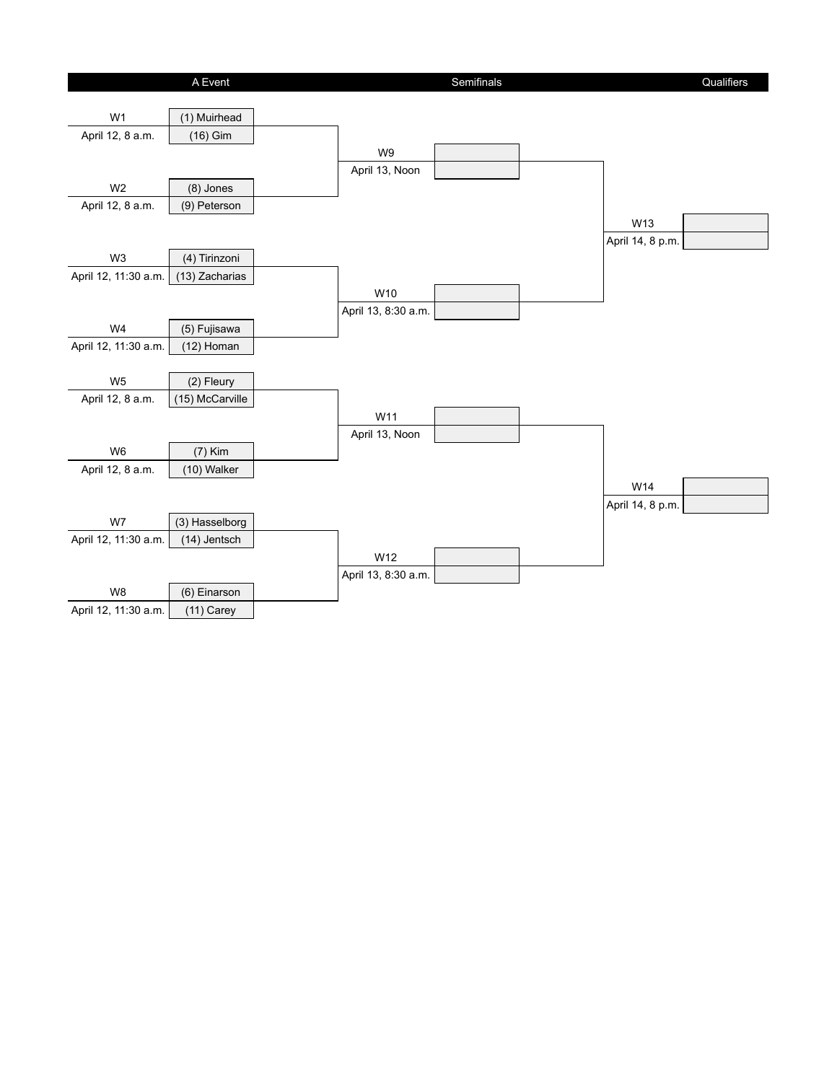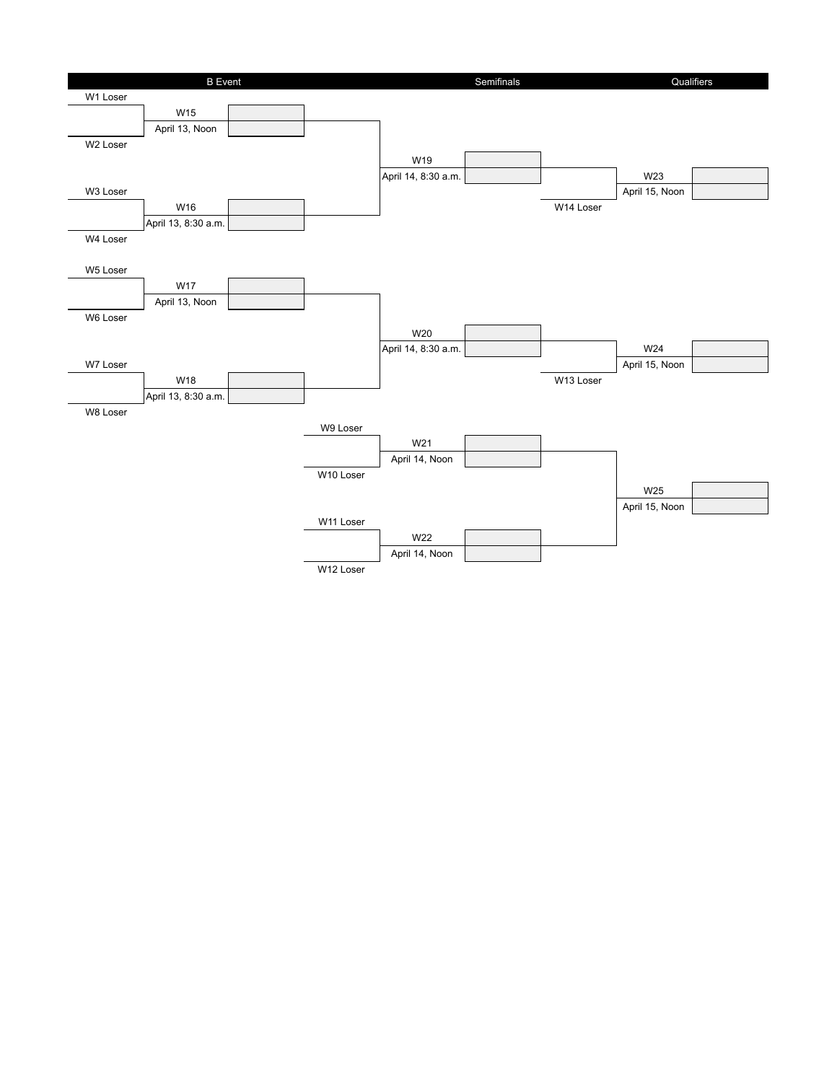